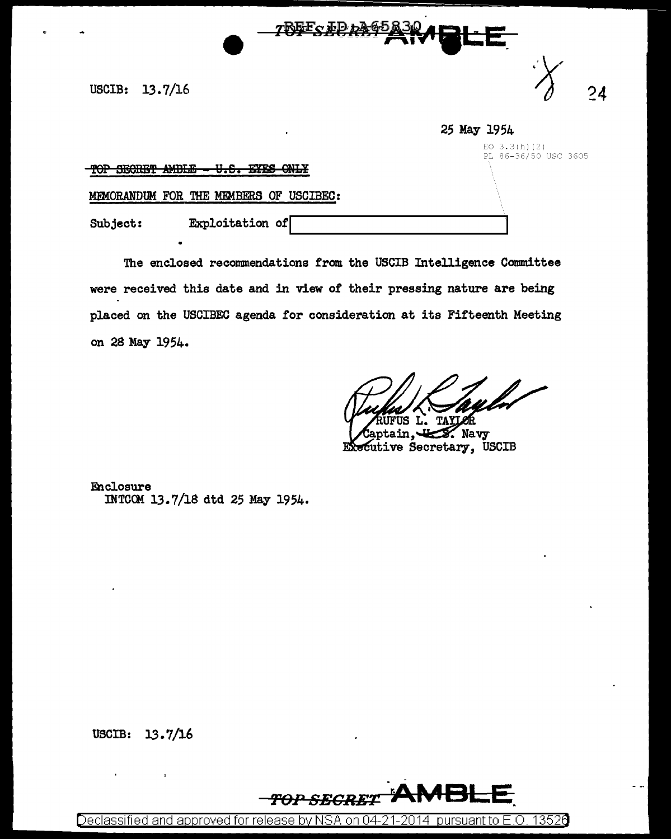USCIB: 13.7/16  $\bigcirc$  24

|                                                                                                 | 25 May 1954                            |
|-------------------------------------------------------------------------------------------------|----------------------------------------|
| <u>ס ומונו הקוממקדה ממח</u><br><b>TTC</b><br><b>IVIC ONIV</b><br><u>IAL ABARGI WIDIWA</u><br>vw | EO $3.3(h)(2)$<br>PL 86-36/50 USC 3605 |
| MEMORANDUM FOR THE MEMBERS OF USCIBEC:                                                          |                                        |
| Exploitation of<br>Subject:                                                                     |                                        |

<u>ንጒውFo ታD ታት</u>

The enclosed recommendations from the USCIB Intelligence Committee were received this date and in view of their pressing nature are being placed on the USCIBEC agenda for consideration at its Fifteenth Meeting on 28 May 1954.

L. **TAYLOR** ŪS

 $\mathscr{L}$  Navy Executive Secretary, USCIB

Enclosure INTCCM 13.7/18 dtd 25 May 1954.

USCIB: 13.7/16



Declassified and approved for release by NSA on 04-21-2014 pursuantto E.O. 1352a